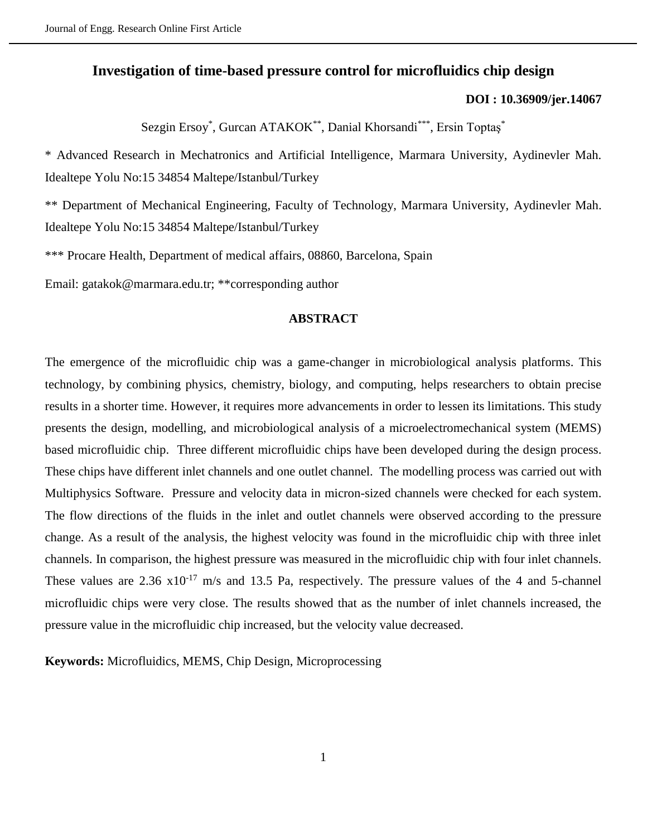# **Investigation of time-based pressure control for microfluidics chip design**

## **[DOI : 10.36909/jer.14067](https://doi.org/10.36909/jer.14067)**

Sezgin Ersoy<sup>\*</sup>, Gurcan ATAKOK<sup>\*\*</sup>, Danial Khorsandi<sup>\*\*\*</sup>, Ersin Toptaş<sup>\*</sup>

\* [Advanced Research in Mechatronics and Artificial Intelligence,](https://avesis.marmara.edu.tr/researchteamsite/itag) Marmara University, Aydinevler Mah. Idealtepe Yolu No:15 34854 Maltepe/Istanbul/Turkey

\*\* Department of Mechanical Engineering, Faculty of Technology, Marmara University, Aydinevler Mah. Idealtepe Yolu No:15 34854 Maltepe/Istanbul/Turkey

\*\*\* Procare Health, Department of medical affairs, 08860, Barcelona, Spain

Email: gatakok@marmara.edu.tr; \*\*corresponding author

## **ABSTRACT**

The emergence of the microfluidic chip was a game-changer in microbiological analysis platforms. This technology, by combining physics, chemistry, biology, and computing, helps researchers to obtain precise results in a shorter time. However, it requires more advancements in order to lessen its limitations. This study presents the design, modelling, and microbiological analysis of a microelectromechanical system (MEMS) based microfluidic chip. Three different microfluidic chips have been developed during the design process. These chips have different inlet channels and one outlet channel. The modelling process was carried out with Multiphysics Software. Pressure and velocity data in micron-sized channels were checked for each system. The flow directions of the fluids in the inlet and outlet channels were observed according to the pressure change. As a result of the analysis, the highest velocity was found in the microfluidic chip with three inlet channels. In comparison, the highest pressure was measured in the microfluidic chip with four inlet channels. These values are  $2.36 \times 10^{-17}$  m/s and 13.5 Pa, respectively. The pressure values of the 4 and 5-channel microfluidic chips were very close. The results showed that as the number of inlet channels increased, the pressure value in the microfluidic chip increased, but the velocity value decreased.

**Keywords:** Microfluidics, MEMS, Chip Design, Microprocessing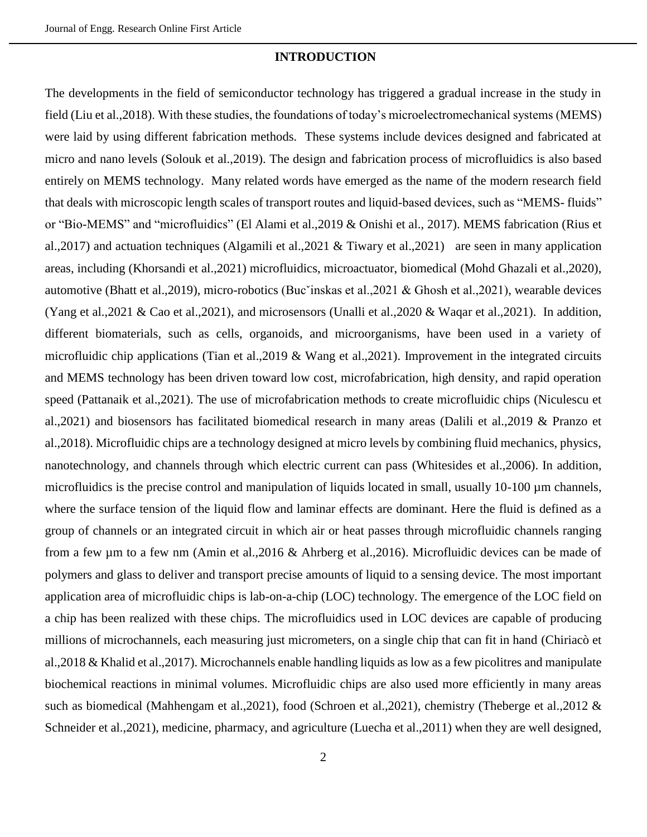### **INTRODUCTION**

The developments in the field of semiconductor technology has triggered a gradual increase in the study in field (Liu et al.,2018). With these studies, the foundations of today's microelectromechanical systems (MEMS) were laid by using different fabrication methods. These systems include devices designed and fabricated at micro and nano levels (Solouk et al.,2019). The design and fabrication process of microfluidics is also based entirely on MEMS technology. Many related words have emerged as the name of the modern research field that deals with microscopic length scales of transport routes and liquid-based devices, such as "MEMS- fluids" or "Bio-MEMS" and "microfluidics" (El Alami et al.,2019 & Onishi et al., 2017). MEMS fabrication (Rius et al.,2017) and actuation techniques (Algamili et al.,2021 & Tiwary et al.,2021) are seen in many application areas, including (Khorsandi et al.,2021) microfluidics, microactuator, biomedical (Mohd Ghazali et al.,2020), automotive (Bhatt et al.,2019), micro-robotics (Bucˇinskas et al.,2021 & Ghosh et al.,2021), wearable devices (Yang et al.,2021 & Cao et al.,2021), and microsensors (Unalli et al.,2020 & Waqar et al.,2021). In addition, different biomaterials, such as cells, organoids, and microorganisms, have been used in a variety of microfluidic chip applications (Tian et al.,2019 & Wang et al.,2021). Improvement in the integrated circuits and MEMS technology has been driven toward low cost, microfabrication, high density, and rapid operation speed (Pattanaik et al.,2021). The use of microfabrication methods to create microfluidic chips (Niculescu et al.,2021) and biosensors has facilitated biomedical research in many areas (Dalili et al.,2019 & Pranzo et al.,2018). Microfluidic chips are a technology designed at micro levels by combining fluid mechanics, physics, nanotechnology, and channels through which electric current can pass (Whitesides et al.,2006). In addition, microfluidics is the precise control and manipulation of liquids located in small, usually 10-100 µm channels, where the surface tension of the liquid flow and laminar effects are dominant. Here the fluid is defined as a group of channels or an integrated circuit in which air or heat passes through microfluidic channels ranging from a few µm to a few nm (Amin et al.,2016 & Ahrberg et al.,2016). Microfluidic devices can be made of polymers and glass to deliver and transport precise amounts of liquid to a sensing device. The most important application area of microfluidic chips is lab-on-a-chip (LOC) technology. The emergence of the LOC field on a chip has been realized with these chips. The microfluidics used in LOC devices are capable of producing millions of microchannels, each measuring just micrometers, on a single chip that can fit in hand (Chiriacò et al.,2018 & Khalid et al.,2017). Microchannels enable handling liquids as low as a few picolitres and manipulate biochemical reactions in minimal volumes. Microfluidic chips are also used more efficiently in many areas such as biomedical (Mahhengam et al.,2021), food (Schroen et al.,2021), chemistry (Theberge et al.,2012 & Schneider et al.,2021), medicine, pharmacy, and agriculture (Luecha et al.,2011) when they are well designed,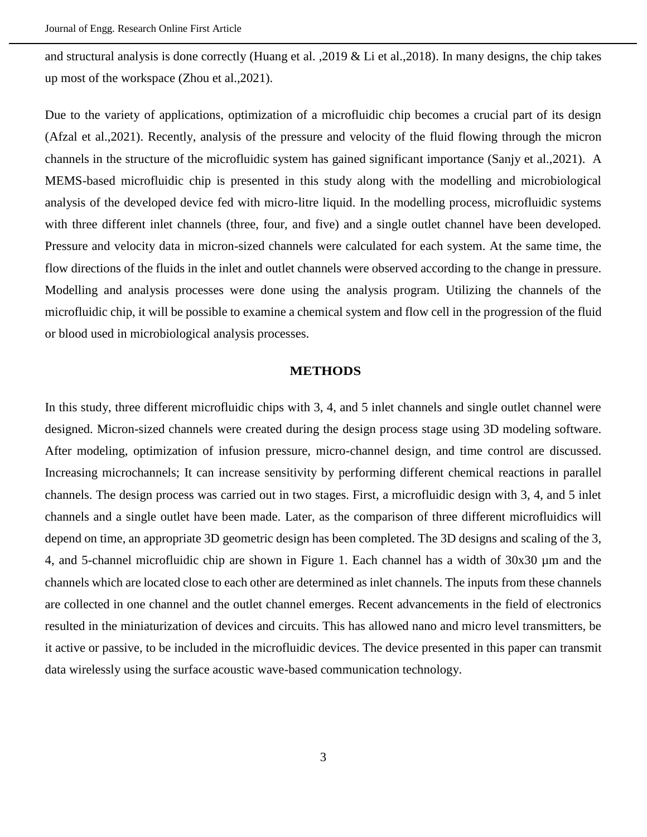and structural analysis is done correctly (Huang et al. ,2019 & Li et al.,2018). In many designs, the chip takes up most of the workspace (Zhou et al.,2021).

Due to the variety of applications, optimization of a microfluidic chip becomes a crucial part of its design (Afzal et al.,2021). Recently, analysis of the pressure and velocity of the fluid flowing through the micron channels in the structure of the microfluidic system has gained significant importance (Sanjy et al.,2021). A MEMS-based microfluidic chip is presented in this study along with the modelling and microbiological analysis of the developed device fed with micro-litre liquid. In the modelling process, microfluidic systems with three different inlet channels (three, four, and five) and a single outlet channel have been developed. Pressure and velocity data in micron-sized channels were calculated for each system. At the same time, the flow directions of the fluids in the inlet and outlet channels were observed according to the change in pressure. Modelling and analysis processes were done using the analysis program. Utilizing the channels of the microfluidic chip, it will be possible to examine a chemical system and flow cell in the progression of the fluid or blood used in microbiological analysis processes.

#### **METHODS**

In this study, three different microfluidic chips with 3, 4, and 5 inlet channels and single outlet channel were designed. Micron-sized channels were created during the design process stage using 3D modeling software. After modeling, optimization of infusion pressure, micro-channel design, and time control are discussed. Increasing microchannels; It can increase sensitivity by performing different chemical reactions in parallel channels. The design process was carried out in two stages. First, a microfluidic design with 3, 4, and 5 inlet channels and a single outlet have been made. Later, as the comparison of three different microfluidics will depend on time, an appropriate 3D geometric design has been completed. The 3D designs and scaling of the 3, 4, and 5-channel microfluidic chip are shown in Figure 1. Each channel has a width of 30x30 µm and the channels which are located close to each other are determined as inlet channels. The inputs from these channels are collected in one channel and the outlet channel emerges. Recent advancements in the field of electronics resulted in the miniaturization of devices and circuits. This has allowed nano and micro level transmitters, be it active or passive, to be included in the microfluidic devices. The device presented in this paper can transmit data wirelessly using the surface acoustic wave-based communication technology.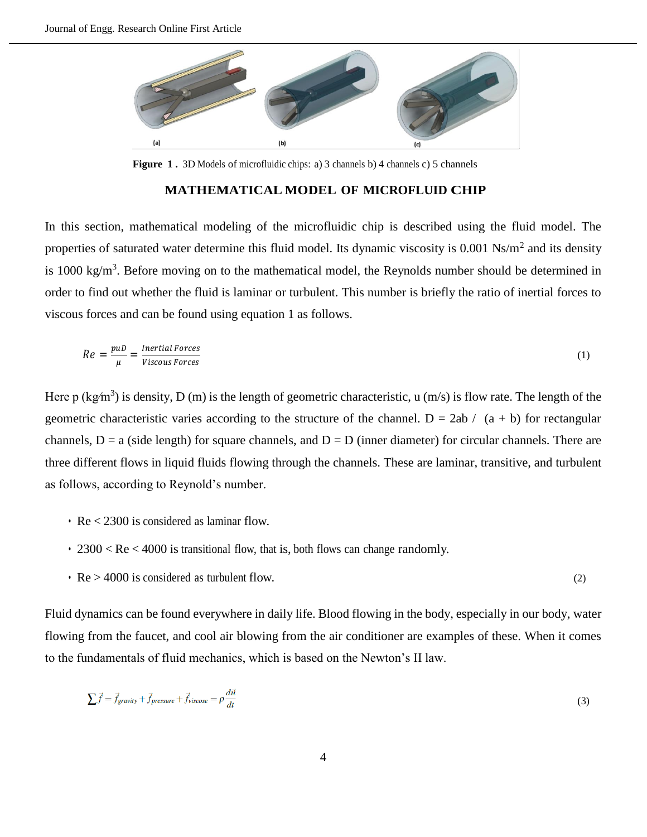

**Figure 1 .** 3D Models of microfluidic chips: a) 3 channels b) 4 channels c) 5 channels

### **MATHEMATICAL MODEL OF MICROFLUID CHIP**

In this section, mathematical modeling of the microfluidic chip is described using the fluid model. The properties of saturated water determine this fluid model. Its dynamic viscosity is  $0.001 \text{ Ns/m}^2$  and its density is 1000 kg/m<sup>3</sup>. Before moving on to the mathematical model, the Reynolds number should be determined in order to find out whether the fluid is laminar or turbulent. This number is briefly the ratio of inertial forces to viscous forces and can be found using equation 1 as follows.

$$
Re = \frac{puD}{\mu} = \frac{Inertial Forces}{Viscous Forces} \tag{1}
$$

Here p (kg/m<sup>3</sup>) is density, D (m) is the length of geometric characteristic, u (m/s) is flow rate. The length of the geometric characteristic varies according to the structure of the channel.  $D = 2ab / (a + b)$  for rectangular channels,  $D = a$  (side length) for square channels, and  $D = D$  (inner diameter) for circular channels. There are three different flows in liquid fluids flowing through the channels. These are laminar, transitive, and turbulent as follows, according to Reynold's number.

- Re < 2300 is considered as laminar flow.
- 2300 < Re < 4000 is transitional flow, that is, both flows can change randomly.
- $Re > 4000$  is considered as turbulent flow. (2)

Fluid dynamics can be found everywhere in daily life. Blood flowing in the body, especially in our body, water flowing from the faucet, and cool air blowing from the air conditioner are examples of these. When it comes to the fundamentals of fluid mechanics, which is based on the Newton's II law.

$$
\sum \vec{f} = \vec{f}_{gravity} + \vec{f}_{pressure} + \vec{f}_{viscose} = \rho \frac{d\vec{u}}{dt}
$$
\n(3)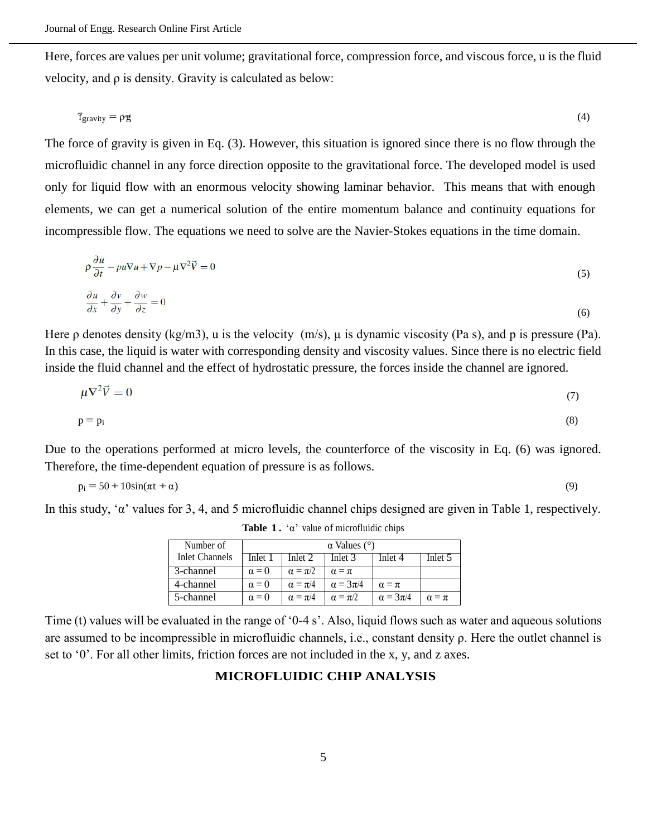Here, forces are values per unit volume; gravitational force, compression force, and viscous force, u is the fluid velocity, and ρ is density. Gravity is calculated as below:

$$
\mathbf{f}_{\text{gravity}} = \rho \mathbf{g} \tag{4}
$$

The force of gravity is given in Eq. (3). However, this situation is ignored since there is no flow through the microfluidic channel in any force direction opposite to the gravitational force. The developed model is used only for liquid flow with an enormous velocity showing laminar behavior. This means that with enough elements, we can get a numerical solution of the entire momentum balance and continuity equations for incompressible flow. The equations we need to solve are the Navier-Stokes equations in the time domain.

$$
\rho \frac{\partial u}{\partial t} - pu \nabla u + \nabla p - \mu \nabla^2 \vec{V} = 0
$$
\n<sup>(5)</sup>

$$
\frac{\partial u}{\partial x} + \frac{\partial v}{\partial y} + \frac{\partial w}{\partial z} = 0\tag{6}
$$

Here  $\rho$  denotes density (kg/m3), u is the velocity (m/s),  $\mu$  is dynamic viscosity (Pa s), and p is pressure (Pa). In this case, the liquid is water with corresponding density and viscosity values. Since there is no electric field inside the fluid channel and the effect of hydrostatic pressure, the forces inside the channel are ignored.

$$
\mu \nabla^2 \vec{V} = 0 \tag{7}
$$

$$
p = p_i \tag{8}
$$

Due to the operations performed at micro levels, the counterforce of the viscosity in Eq. (6) was ignored. Therefore, the time-dependent equation of pressure is as follows.

$$
p_i = 50 + 10\sin(\pi t + \alpha) \tag{9}
$$

In this study, 'α' values for 3, 4, and 5 microfluidic channel chips designed are given in Table 1, respectively.

| Number of             | $\alpha$ Values ( $\degree$ ) |                  |                   |                   |                |  |  |  |  |  |  |
|-----------------------|-------------------------------|------------------|-------------------|-------------------|----------------|--|--|--|--|--|--|
| <b>Inlet Channels</b> | Inlet 1                       | Inlet 2          | Inlet 3           | Inlet 4           | Inlet 5        |  |  |  |  |  |  |
| 3-channel             | $\alpha = 0$                  | $\alpha = \pi/2$ | $\alpha = \pi$    |                   |                |  |  |  |  |  |  |
| 4-channel             | $\alpha = 0$                  | $\alpha = \pi/4$ | $\alpha = 3\pi/4$ | $\alpha = \pi$    |                |  |  |  |  |  |  |
| 5-channel             | $\alpha = 0$                  | $\alpha = \pi/4$ | $\alpha = \pi/2$  | $\alpha = 3\pi/4$ | $\alpha = \pi$ |  |  |  |  |  |  |

**Table 1.** ' $\alpha$ ' value of microfluidic chips

Time (t) values will be evaluated in the range of '0-4 s'. Also, liquid flows such as water and aqueous solutions are assumed to be incompressible in microfluidic channels, i.e., constant density ρ. Here the outlet channel is set to '0'. For all other limits, friction forces are not included in the x, y, and z axes.

# **MICROFLUIDIC CHIP ANALYSIS**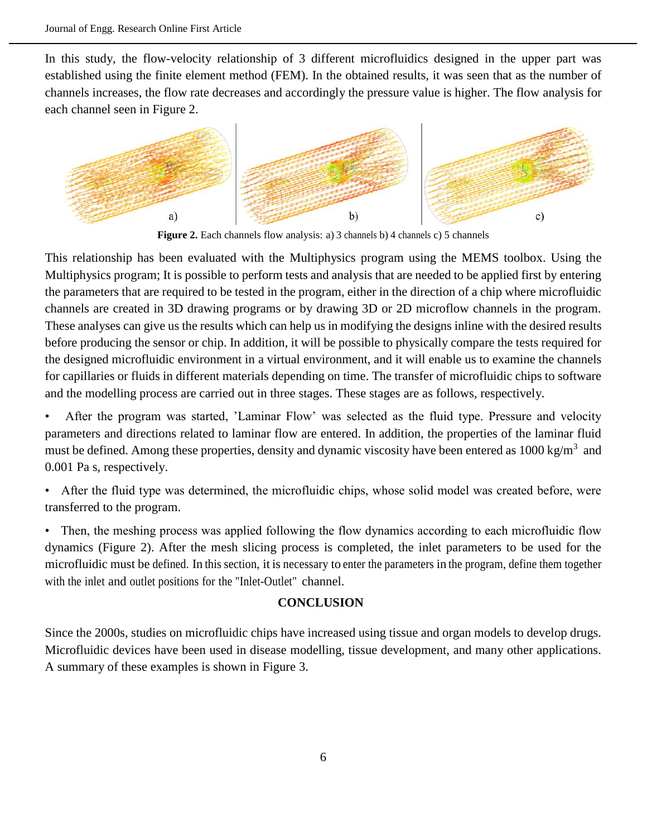In this study, the flow-velocity relationship of 3 different microfluidics designed in the upper part was established using the finite element method (FEM). In the obtained results, it was seen that as the number of channels increases, the flow rate decreases and accordingly the pressure value is higher. The flow analysis for each channel seen in Figure 2.



**Figure 2.** Each channels flow analysis: a) 3 channels b) 4 channels c) 5 channels

This relationship has been evaluated with the Multiphysics program using the MEMS toolbox. Using the Multiphysics program; It is possible to perform tests and analysis that are needed to be applied first by entering the parameters that are required to be tested in the program, either in the direction of a chip where microfluidic channels are created in 3D drawing programs or by drawing 3D or 2D microflow channels in the program. These analyses can give us the results which can help us in modifying the designs inline with the desired results before producing the sensor or chip. In addition, it will be possible to physically compare the tests required for the designed microfluidic environment in a virtual environment, and it will enable us to examine the channels for capillaries or fluids in different materials depending on time. The transfer of microfluidic chips to software and the modelling process are carried out in three stages. These stages are as follows, respectively.

• After the program was started, 'Laminar Flow' was selected as the fluid type. Pressure and velocity parameters and directions related to laminar flow are entered. In addition, the properties of the laminar fluid must be defined. Among these properties, density and dynamic viscosity have been entered as 1000 kg/m<sup>3</sup> and 0.001 Pa s, respectively.

• After the fluid type was determined, the microfluidic chips, whose solid model was created before, were transferred to the program.

• Then, the meshing process was applied following the flow dynamics according to each microfluidic flow dynamics (Figure 2). After the mesh slicing process is completed, the inlet parameters to be used for the microfluidic must be defined. In this section, it is necessary to enter the parameters in the program, define them together with the inlet and outlet positions for the "Inlet-Outlet" channel.

## **CONCLUSION**

Since the 2000s, studies on microfluidic chips have increased using tissue and organ models to develop drugs. Microfluidic devices have been used in disease modelling, tissue development, and many other applications. A summary of these examples is shown in Figure 3.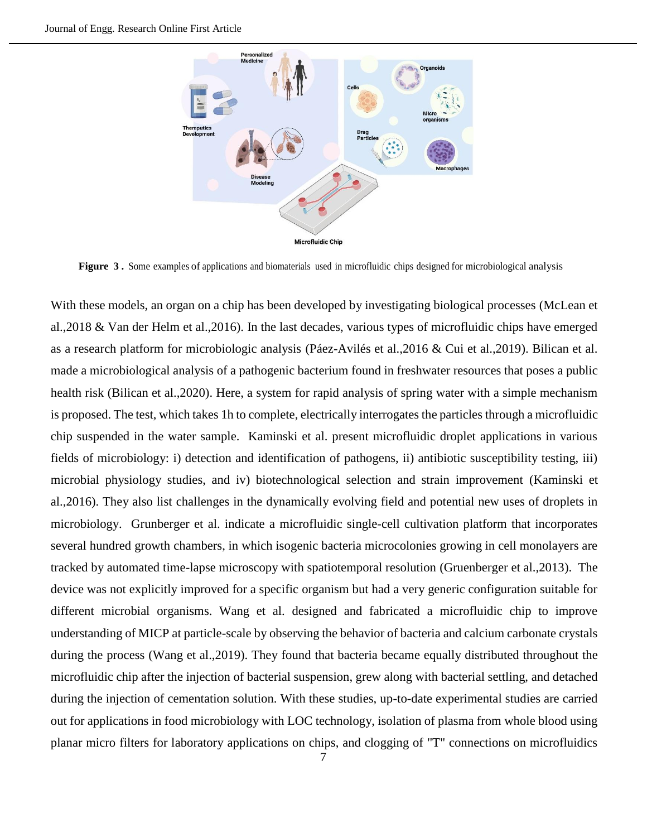

**Figure 3 .** Some examples of applications and biomaterials used in microfluidic chips designed for microbiological analysis

With these models, an organ on a chip has been developed by investigating biological processes (McLean et al.,2018 & Van der Helm et al.,2016). In the last decades, various types of microfluidic chips have emerged as a research platform for microbiologic analysis (Páez-Avilés et al.,2016 & Cui et al.,2019). Bilican et al. made a microbiological analysis of a pathogenic bacterium found in freshwater resources that poses a public health risk (Bilican et al.,2020). Here, a system for rapid analysis of spring water with a simple mechanism is proposed. The test, which takes 1h to complete, electrically interrogates the particles through a microfluidic chip suspended in the water sample. Kaminski et al. present microfluidic droplet applications in various fields of microbiology: i) detection and identification of pathogens, ii) antibiotic susceptibility testing, iii) microbial physiology studies, and iv) biotechnological selection and strain improvement (Kaminski et al.,2016). They also list challenges in the dynamically evolving field and potential new uses of droplets in microbiology. Grunberger et al. indicate a microfluidic single-cell cultivation platform that incorporates several hundred growth chambers, in which isogenic bacteria microcolonies growing in cell monolayers are tracked by automated time-lapse microscopy with spatiotemporal resolution (Gruenberger et al.,2013). The device was not explicitly improved for a specific organism but had a very generic configuration suitable for different microbial organisms. Wang et al. designed and fabricated a microfluidic chip to improve understanding of MICP at particle-scale by observing the behavior of bacteria and calcium carbonate crystals during the process (Wang et al.,2019). They found that bacteria became equally distributed throughout the microfluidic chip after the injection of bacterial suspension, grew along with bacterial settling, and detached during the injection of cementation solution. With these studies, up-to-date experimental studies are carried out for applications in food microbiology with LOC technology, isolation of plasma from whole blood using planar micro filters for laboratory applications on chips, and clogging of "T" connections on microfluidics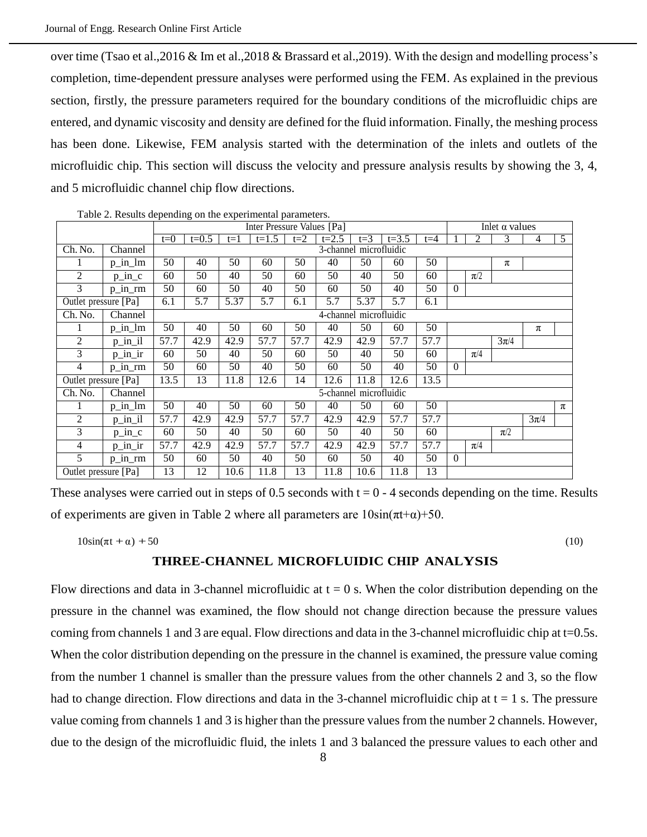over time (Tsao et al.,2016 & Im et al.,2018 & Brassard et al.,2019). With the design and modelling process's completion, time-dependent pressure analyses were performed using the FEM. As explained in the previous section, firstly, the pressure parameters required for the boundary conditions of the microfluidic chips are entered, and dynamic viscosity and density are defined for the fluid information. Finally, the meshing process has been done. Likewise, FEM analysis started with the determination of the inlets and outlets of the microfluidic chip. This section will discuss the velocity and pressure analysis results by showing the 3, 4, and 5 microfluidic channel chip flow directions.

|                      |           | $\frac{1}{2}$ . The same appointment on the experimental parameters.<br>Inter Pressure Values [Pa] |         |       |           |       |           |         |           | Inlet $\alpha$ values |          |         |          |          |   |
|----------------------|-----------|----------------------------------------------------------------------------------------------------|---------|-------|-----------|-------|-----------|---------|-----------|-----------------------|----------|---------|----------|----------|---|
|                      |           | $t=0$                                                                                              | $t=0.5$ | $t=1$ | $t = 1.5$ | $t=2$ | $t = 2.5$ | $t = 3$ | $t = 3.5$ | $t=4$                 |          | 2       | 3        | 4        | 5 |
| Ch. No.              | Channel   | 3-channel microfluidic                                                                             |         |       |           |       |           |         |           |                       |          |         |          |          |   |
| 1                    | $p_in_l$  | 50                                                                                                 | 40      | 50    | 60        | 50    | 40        | 50      | 60        | 50                    |          |         | π        |          |   |
| $\overline{c}$       | $p_in_c$  | 60                                                                                                 | 50      | 40    | 50        | 60    | 50        | 40      | 50        | 60                    |          | $\pi/2$ |          |          |   |
| 3                    | $p_in_r$  | 50                                                                                                 | 60      | 50    | 40        | 50    | 60        | 50      | 40        | 50                    | $\theta$ |         |          |          |   |
| Outlet pressure [Pa] |           | 6.1                                                                                                | 5.7     | 5.37  | 5.7       | 6.1   | 5.7       | 5.37    | 5.7       | 6.1                   |          |         |          |          |   |
| Ch. No.              | Channel   | 4-channel microfluidic                                                                             |         |       |           |       |           |         |           |                       |          |         |          |          |   |
| 1                    | $p_in_l$  | 50                                                                                                 | 40      | 50    | 60        | 50    | 40        | 50      | 60        | 50                    |          |         |          | π        |   |
| $\overline{c}$       | $p_in_i$  | 57.7                                                                                               | 42.9    | 42.9  | 57.7      | 57.7  | 42.9      | 42.9    | 57.7      | 57.7                  |          |         | $3\pi/4$ |          |   |
| $\overline{3}$       | $p_in_ir$ | 60                                                                                                 | 50      | 40    | 50        | 60    | 50        | 40      | 50        | 60                    |          | $\pi/4$ |          |          |   |
| 4                    | $p_in_r$  | 50                                                                                                 | 60      | 50    | 40        | 50    | 60        | 50      | 40        | 50                    | $\theta$ |         |          |          |   |
| Outlet pressure [Pa] |           | 13.5                                                                                               | 13      | 11.8  | 12.6      | 14    | 12.6      | 11.8    | 12.6      | 13.5                  |          |         |          |          |   |
| Ch. No.              | Channel   | 5-channel microfluidic                                                                             |         |       |           |       |           |         |           |                       |          |         |          |          |   |
|                      | $p_in_l$  | 50                                                                                                 | 40      | 50    | 60        | 50    | 40        | 50      | 60        | 50                    |          |         |          |          | π |
| $\overline{c}$       | $p_in_i$  | 57.7                                                                                               | 42.9    | 42.9  | 57.7      | 57.7  | 42.9      | 42.9    | 57.7      | 57.7                  |          |         |          | $3\pi/4$ |   |
| 3                    | $p_in_c$  | 60                                                                                                 | 50      | 40    | 50        | 60    | 50        | 40      | 50        | 60                    |          |         | $\pi/2$  |          |   |
| 4                    | $p_in_ir$ | 57.7                                                                                               | 42.9    | 42.9  | 57.7      | 57.7  | 42.9      | 42.9    | 57.7      | 57.7                  |          | $\pi/4$ |          |          |   |
| 5                    | $p_in_r$  | 50                                                                                                 | 60      | 50    | 40        | 50    | 60        | 50      | 40        | 50                    | $\theta$ |         |          |          |   |
| Outlet pressure [Pa] |           | 13                                                                                                 | 12      | 10.6  | 11.8      | 13    | 11.8      | 10.6    | 11.8      | 13                    |          |         |          |          |   |

Table 2. Results depending on the experimental parameters.

These analyses were carried out in steps of 0.5 seconds with  $t = 0 - 4$  seconds depending on the time. Results of experiments are given in Table 2 where all parameters are  $10\sin(\pi t + \alpha) + 50$ .

 $10\sin(\pi t + \alpha) + 50$  (10)

## **THREE-CHANNEL MICROFLUIDIC CHIP ANALYSIS**

Flow directions and data in 3-channel microfluidic at  $t = 0$  s. When the color distribution depending on the pressure in the channel was examined, the flow should not change direction because the pressure values coming from channels 1 and 3 are equal. Flow directions and data in the 3-channel microfluidic chip at t=0.5s. When the color distribution depending on the pressure in the channel is examined, the pressure value coming from the number 1 channel is smaller than the pressure values from the other channels 2 and 3, so the flow had to change direction. Flow directions and data in the 3-channel microfluidic chip at  $t = 1$  s. The pressure value coming from channels 1 and 3 is higher than the pressure values from the number 2 channels. However, due to the design of the microfluidic fluid, the inlets 1 and 3 balanced the pressure values to each other and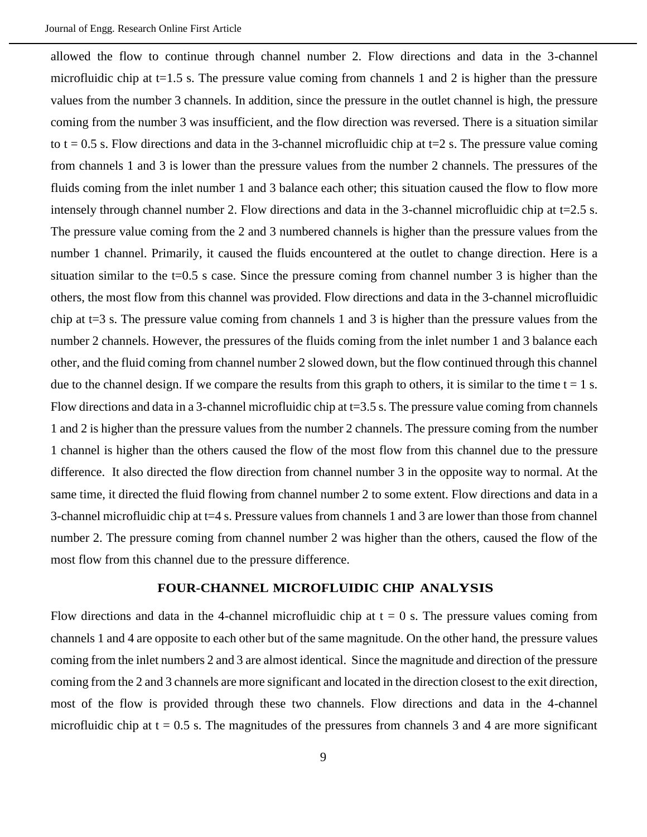allowed the flow to continue through channel number 2. Flow directions and data in the 3-channel microfluidic chip at  $t=1.5$  s. The pressure value coming from channels 1 and 2 is higher than the pressure values from the number 3 channels. In addition, since the pressure in the outlet channel is high, the pressure coming from the number 3 was insufficient, and the flow direction was reversed. There is a situation similar to  $t = 0.5$  s. Flow directions and data in the 3-channel microfluidic chip at  $t=2$  s. The pressure value coming from channels 1 and 3 is lower than the pressure values from the number 2 channels. The pressures of the fluids coming from the inlet number 1 and 3 balance each other; this situation caused the flow to flow more intensely through channel number 2. Flow directions and data in the 3-channel microfluidic chip at t=2.5 s. The pressure value coming from the 2 and 3 numbered channels is higher than the pressure values from the number 1 channel. Primarily, it caused the fluids encountered at the outlet to change direction. Here is a situation similar to the  $t=0.5$  s case. Since the pressure coming from channel number 3 is higher than the others, the most flow from this channel was provided. Flow directions and data in the 3-channel microfluidic chip at t=3 s. The pressure value coming from channels 1 and 3 is higher than the pressure values from the number 2 channels. However, the pressures of the fluids coming from the inlet number 1 and 3 balance each other, and the fluid coming from channel number 2 slowed down, but the flow continued through this channel due to the channel design. If we compare the results from this graph to others, it is similar to the time  $t = 1$  s. Flow directions and data in a 3-channel microfluidic chip at  $t=3.5$  s. The pressure value coming from channels 1 and 2 is higher than the pressure values from the number 2 channels. The pressure coming from the number 1 channel is higher than the others caused the flow of the most flow from this channel due to the pressure difference. It also directed the flow direction from channel number 3 in the opposite way to normal. At the same time, it directed the fluid flowing from channel number 2 to some extent. Flow directions and data in a 3-channel microfluidic chip at t=4 s. Pressure values from channels 1 and 3 are lower than those from channel number 2. The pressure coming from channel number 2 was higher than the others, caused the flow of the most flow from this channel due to the pressure difference.

# **FOUR-CHANNEL MICROFLUIDIC CHIP ANALYSIS**

Flow directions and data in the 4-channel microfluidic chip at  $t = 0$  s. The pressure values coming from channels 1 and 4 are opposite to each other but of the same magnitude. On the other hand, the pressure values coming from the inlet numbers 2 and 3 are almost identical. Since the magnitude and direction of the pressure coming from the 2 and 3 channels are more significant and located in the direction closest to the exit direction, most of the flow is provided through these two channels. Flow directions and data in the 4-channel microfluidic chip at  $t = 0.5$  s. The magnitudes of the pressures from channels 3 and 4 are more significant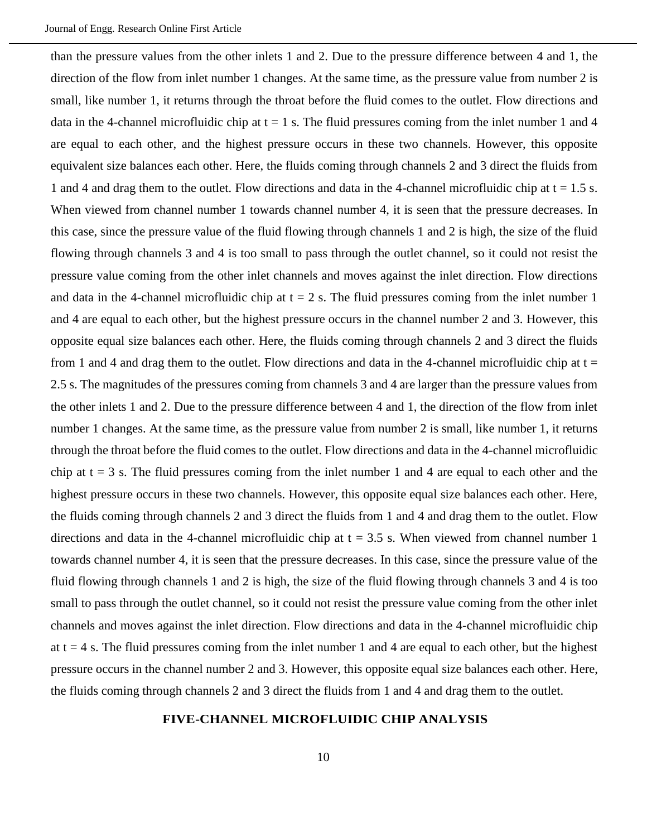than the pressure values from the other inlets 1 and 2. Due to the pressure difference between 4 and 1, the direction of the flow from inlet number 1 changes. At the same time, as the pressure value from number 2 is small, like number 1, it returns through the throat before the fluid comes to the outlet. Flow directions and data in the 4-channel microfluidic chip at  $t = 1$  s. The fluid pressures coming from the inlet number 1 and 4 are equal to each other, and the highest pressure occurs in these two channels. However, this opposite equivalent size balances each other. Here, the fluids coming through channels 2 and 3 direct the fluids from 1 and 4 and drag them to the outlet. Flow directions and data in the 4-channel microfluidic chip at  $t = 1.5$  s. When viewed from channel number 1 towards channel number 4, it is seen that the pressure decreases. In this case, since the pressure value of the fluid flowing through channels 1 and 2 is high, the size of the fluid flowing through channels 3 and 4 is too small to pass through the outlet channel, so it could not resist the pressure value coming from the other inlet channels and moves against the inlet direction. Flow directions and data in the 4-channel microfluidic chip at  $t = 2$  s. The fluid pressures coming from the inlet number 1 and 4 are equal to each other, but the highest pressure occurs in the channel number 2 and 3. However, this opposite equal size balances each other. Here, the fluids coming through channels 2 and 3 direct the fluids from 1 and 4 and drag them to the outlet. Flow directions and data in the 4-channel microfluidic chip at  $t =$ 2.5 s. The magnitudes of the pressures coming from channels 3 and 4 are larger than the pressure values from the other inlets 1 and 2. Due to the pressure difference between 4 and 1, the direction of the flow from inlet number 1 changes. At the same time, as the pressure value from number 2 is small, like number 1, it returns through the throat before the fluid comes to the outlet. Flow directions and data in the 4-channel microfluidic chip at  $t = 3$  s. The fluid pressures coming from the inlet number 1 and 4 are equal to each other and the highest pressure occurs in these two channels. However, this opposite equal size balances each other. Here, the fluids coming through channels 2 and 3 direct the fluids from 1 and 4 and drag them to the outlet. Flow directions and data in the 4-channel microfluidic chip at  $t = 3.5$  s. When viewed from channel number 1 towards channel number 4, it is seen that the pressure decreases. In this case, since the pressure value of the fluid flowing through channels 1 and 2 is high, the size of the fluid flowing through channels 3 and 4 is too small to pass through the outlet channel, so it could not resist the pressure value coming from the other inlet channels and moves against the inlet direction. Flow directions and data in the 4-channel microfluidic chip at  $t = 4$  s. The fluid pressures coming from the inlet number 1 and 4 are equal to each other, but the highest pressure occurs in the channel number 2 and 3. However, this opposite equal size balances each other. Here, the fluids coming through channels 2 and 3 direct the fluids from 1 and 4 and drag them to the outlet.

### **FIVE-CHANNEL MICROFLUIDIC CHIP ANALYSIS**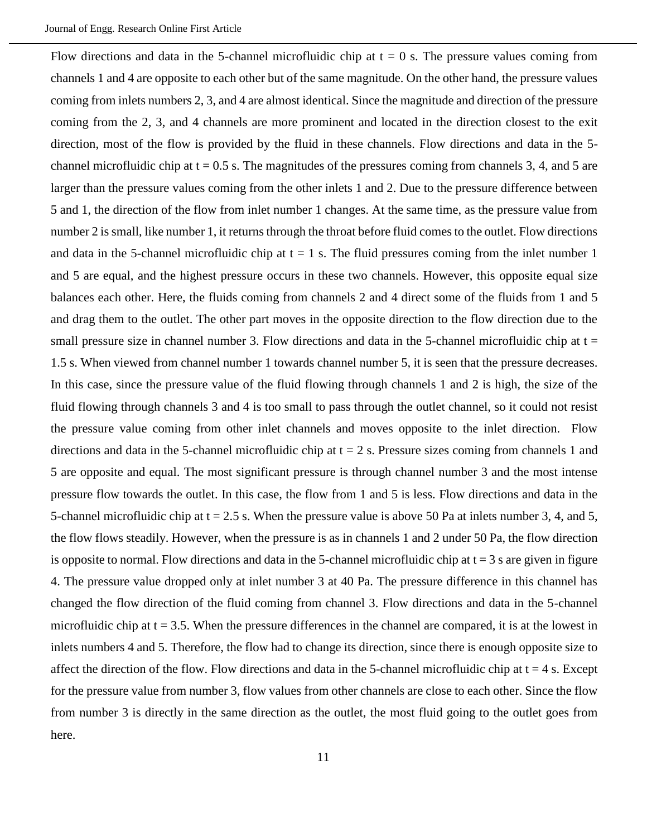Flow directions and data in the 5-channel microfluidic chip at  $t = 0$  s. The pressure values coming from channels 1 and 4 are opposite to each other but of the same magnitude. On the other hand, the pressure values coming from inlets numbers 2, 3, and 4 are almost identical. Since the magnitude and direction of the pressure coming from the 2, 3, and 4 channels are more prominent and located in the direction closest to the exit direction, most of the flow is provided by the fluid in these channels. Flow directions and data in the 5 channel microfluidic chip at  $t = 0.5$  s. The magnitudes of the pressures coming from channels 3, 4, and 5 are larger than the pressure values coming from the other inlets 1 and 2. Due to the pressure difference between 5 and 1, the direction of the flow from inlet number 1 changes. At the same time, as the pressure value from number 2 is small, like number 1, it returns through the throat before fluid comes to the outlet. Flow directions and data in the 5-channel microfluidic chip at  $t = 1$  s. The fluid pressures coming from the inlet number 1 and 5 are equal, and the highest pressure occurs in these two channels. However, this opposite equal size balances each other. Here, the fluids coming from channels 2 and 4 direct some of the fluids from 1 and 5 and drag them to the outlet. The other part moves in the opposite direction to the flow direction due to the small pressure size in channel number 3. Flow directions and data in the 5-channel microfluidic chip at  $t =$ 1.5 s. When viewed from channel number 1 towards channel number 5, it is seen that the pressure decreases. In this case, since the pressure value of the fluid flowing through channels 1 and 2 is high, the size of the fluid flowing through channels 3 and 4 is too small to pass through the outlet channel, so it could not resist the pressure value coming from other inlet channels and moves opposite to the inlet direction. Flow directions and data in the 5-channel microfluidic chip at  $t = 2$  s. Pressure sizes coming from channels 1 and 5 are opposite and equal. The most significant pressure is through channel number 3 and the most intense pressure flow towards the outlet. In this case, the flow from 1 and 5 is less. Flow directions and data in the 5-channel microfluidic chip at  $t = 2.5$  s. When the pressure value is above 50 Pa at inlets number 3, 4, and 5, the flow flows steadily. However, when the pressure is as in channels 1 and 2 under 50 Pa, the flow direction is opposite to normal. Flow directions and data in the 5-channel microfluidic chip at  $t = 3$  s are given in figure 4. The pressure value dropped only at inlet number 3 at 40 Pa. The pressure difference in this channel has changed the flow direction of the fluid coming from channel 3. Flow directions and data in the 5-channel microfluidic chip at  $t = 3.5$ . When the pressure differences in the channel are compared, it is at the lowest in inlets numbers 4 and 5. Therefore, the flow had to change its direction, since there is enough opposite size to affect the direction of the flow. Flow directions and data in the 5-channel microfluidic chip at  $t = 4$  s. Except for the pressure value from number 3, flow values from other channels are close to each other. Since the flow from number 3 is directly in the same direction as the outlet, the most fluid going to the outlet goes from here.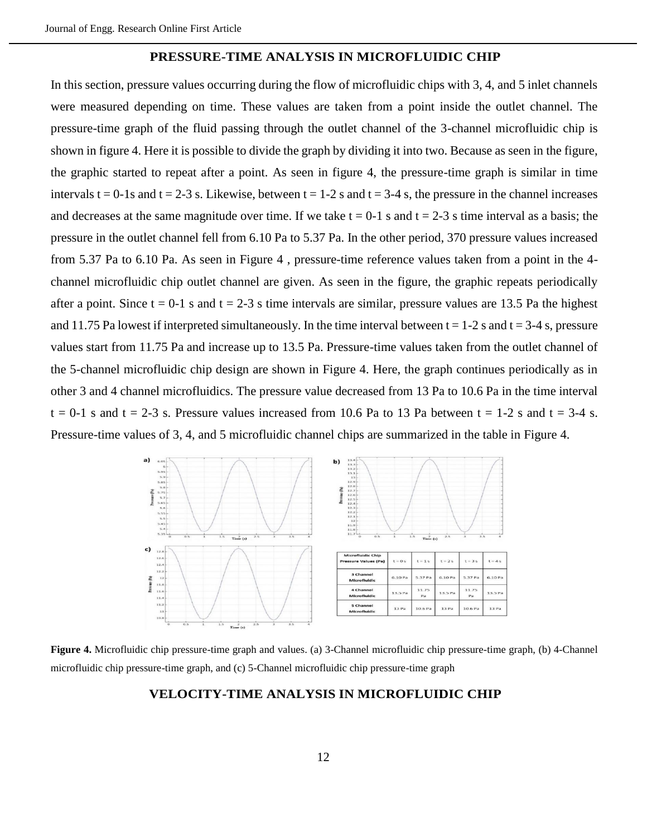#### **PRESSURE-TIME ANALYSIS IN MICROFLUIDIC CHIP**

In this section, pressure values occurring during the flow of microfluidic chips with 3, 4, and 5 inlet channels were measured depending on time. These values are taken from a point inside the outlet channel. The pressure-time graph of the fluid passing through the outlet channel of the 3-channel microfluidic chip is shown in figure 4. Here it is possible to divide the graph by dividing it into two. Because as seen in the figure, the graphic started to repeat after a point. As seen in figure 4, the pressure-time graph is similar in time intervals t = 0-1s and t = 2-3 s. Likewise, between t = 1-2 s and t = 3-4 s, the pressure in the channel increases and decreases at the same magnitude over time. If we take  $t = 0-1$  s and  $t = 2-3$  s time interval as a basis; the pressure in the outlet channel fell from 6.10 Pa to 5.37 Pa. In the other period, 370 pressure values increased from 5.37 Pa to 6.10 Pa. As seen in Figure 4 , pressure-time reference values taken from a point in the 4 channel microfluidic chip outlet channel are given. As seen in the figure, the graphic repeats periodically after a point. Since  $t = 0-1$  s and  $t = 2-3$  s time intervals are similar, pressure values are 13.5 Pa the highest and 11.75 Pa lowest if interpreted simultaneously. In the time interval between  $t = 1-2$  s and  $t = 3-4$  s, pressure values start from 11.75 Pa and increase up to 13.5 Pa. Pressure-time values taken from the outlet channel of the 5-channel microfluidic chip design are shown in Figure 4. Here, the graph continues periodically as in other 3 and 4 channel microfluidics. The pressure value decreased from 13 Pa to 10.6 Pa in the time interval  $t = 0-1$  s and  $t = 2-3$  s. Pressure values increased from 10.6 Pa to 13 Pa between  $t = 1-2$  s and  $t = 3-4$  s. Pressure-time values of 3, 4, and 5 microfluidic channel chips are summarized in the table in Figure 4.



**Figure 4.** Microfluidic chip pressure-time graph and values. (a) 3-Channel microfluidic chip pressure-time graph, (b) 4-Channel microfluidic chip pressure-time graph, and (c) 5-Channel microfluidic chip pressure-time graph

# **VELOCITY-TIME ANALYSIS IN MICROFLUIDIC CHIP**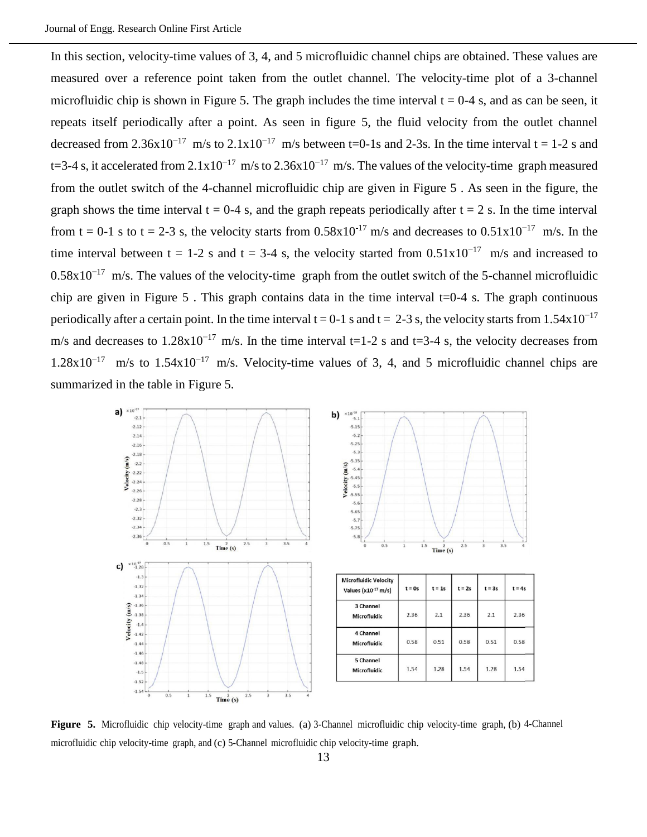In this section, velocity-time values of 3, 4, and 5 microfluidic channel chips are obtained. These values are measured over a reference point taken from the outlet channel. The velocity-time plot of a 3-channel microfluidic chip is shown in Figure 5. The graph includes the time interval  $t = 0-4$  s, and as can be seen, it repeats itself periodically after a point. As seen in figure 5, the fluid velocity from the outlet channel decreased from 2.36x10<sup>-17</sup> m/s to 2.1x10<sup>-17</sup> m/s between t=0-1s and 2-3s. In the time interval t = 1-2 s and t=3-4 s, it accelerated from  $2.1 \times 10^{-17}$  m/s to  $2.36 \times 10^{-17}$  m/s. The values of the velocity-time graph measured from the outlet switch of the 4-channel microfluidic chip are given in Figure 5 . As seen in the figure, the graph shows the time interval  $t = 0-4$  s, and the graph repeats periodically after  $t = 2$  s. In the time interval from t = 0-1 s to t = 2-3 s, the velocity starts from  $0.58 \times 10^{-17}$  m/s and decreases to  $0.51 \times 10^{-17}$  m/s. In the time interval between t = 1-2 s and t = 3-4 s, the velocity started from  $0.51x10^{-17}$  m/s and increased to  $0.58x10^{-17}$  m/s. The values of the velocity-time graph from the outlet switch of the 5-channel microfluidic chip are given in Figure 5. This graph contains data in the time interval  $t=0-4$  s. The graph continuous periodically after a certain point. In the time interval t = 0-1 s and t = 2-3 s, the velocity starts from  $1.54 \times 10^{-17}$ m/s and decreases to  $1.28 \times 10^{-17}$  m/s. In the time interval t=1-2 s and t=3-4 s, the velocity decreases from 1.28x10−17 m/s to 1.54x10−17 m/s. Velocity-time values of 3, 4, and 5 microfluidic channel chips are summarized in the table in Figure 5.



**Figure 5.** Microfluidic chip velocity-time graph and values. (a) 3-Channel microfluidic chip velocity-time graph, (b) 4-Channel microfluidic chip velocity-time graph, and (c) 5-Channel microfluidic chip velocity-time graph.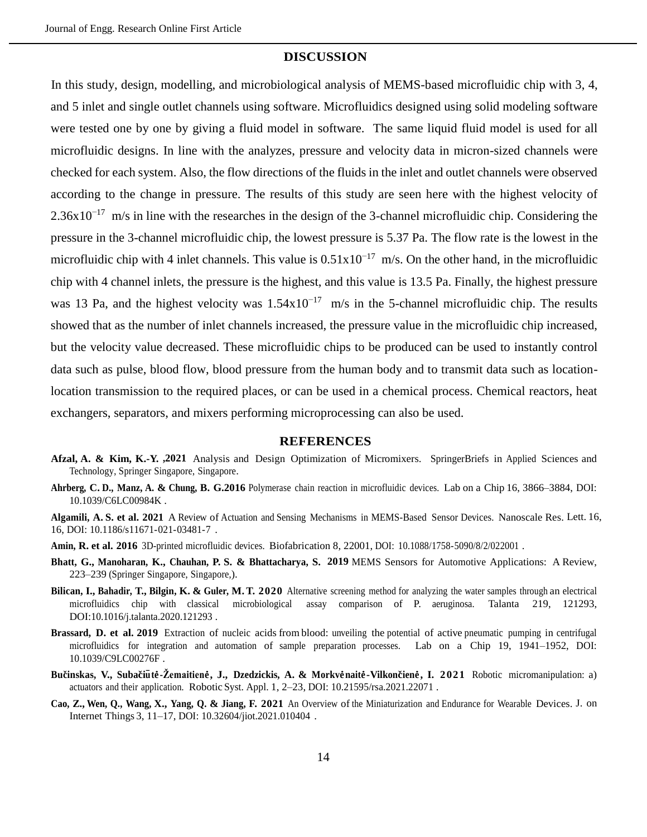#### **DISCUSSION**

In this study, design, modelling, and microbiological analysis of MEMS-based microfluidic chip with 3, 4, and 5 inlet and single outlet channels using software. Microfluidics designed using solid modeling software were tested one by one by giving a fluid model in software. The same liquid fluid model is used for all microfluidic designs. In line with the analyzes, pressure and velocity data in micron-sized channels were checked for each system. Also, the flow directions of the fluids in the inlet and outlet channels were observed according to the change in pressure. The results of this study are seen here with the highest velocity of  $2.36x10^{-17}$  m/s in line with the researches in the design of the 3-channel microfluidic chip. Considering the pressure in the 3-channel microfluidic chip, the lowest pressure is 5.37 Pa. The flow rate is the lowest in the microfluidic chip with 4 inlet channels. This value is  $0.51 \times 10^{-17}$  m/s. On the other hand, in the microfluidic chip with 4 channel inlets, the pressure is the highest, and this value is 13.5 Pa. Finally, the highest pressure was 13 Pa, and the highest velocity was  $1.54 \times 10^{-17}$  m/s in the 5-channel microfluidic chip. The results showed that as the number of inlet channels increased, the pressure value in the microfluidic chip increased, but the velocity value decreased. These microfluidic chips to be produced can be used to instantly control data such as pulse, blood flow, blood pressure from the human body and to transmit data such as locationlocation transmission to the required places, or can be used in a chemical process. Chemical reactors, heat exchangers, separators, and mixers performing microprocessing can also be used.

### **REFERENCES**

- **Afzal, A. & Kim, K.-Y. ,2021** Analysis and Design Optimization of Micromixers. SpringerBriefs in Applied Sciences and Technology, Springer Singapore, Singapore.
- **Ahrberg, C. D., Manz, A. & Chung, B. G.2016** Polymerase chain reaction in microfluidic devices. Lab on a Chip 16, 3866–3884, DOI: [10.1039/C6LC00984K](file:///G:/_/sezgin_ersoy_makale_3/JER_Kuwait/10.1039/C6LC00984K) .
- **Algamili, A. S. et al. 2021** A Review of Actuation and Sensing Mechanisms in MEMS-Based Sensor Devices. Nanoscale Res. Lett. 16, 16, DOI: [10.1186/s11671-021-03481-7](file:///G:/_/sezgin_ersoy_makale_3/JER_Kuwait/10.1186/s11671-021-03481-7) .
- **Amin, R. et al. 2016** 3D-printed microfluidic devices. Biofabrication 8, 22001, DOI: [10.1088/1758-5090/8/2/022001](file:///G:/_/sezgin_ersoy_makale_3/JER_Kuwait/10.1088/1758-5090/8/2/022001) .
- **Bhatt, G., Manoharan, K., Chauhan, P. S. & Bhattacharya, S. 2019** MEMS Sensors for Automotive Applications: A Review, 223–239 (Springer Singapore, Singapore,).
- **Bilican, I., Bahadir, T., Bilgin, K. & Guler, M. T. 2020** Alternative screening method for analyzing the water samples through an electrical microfluidics chip with classical microbiological assay comparison of P. aeruginosa. Talanta 219, 121293, DOI[:10.1016/j.talanta.2020.121293](file:///G:/_/sezgin_ersoy_makale_3/JER_Kuwait/10.1016/j.talanta.2020.121293) .
- **Brassard, D. et al. 2019** Extraction of nucleic acids from blood: unveiling the potential of active pneumatic pumping in centrifugal microfluidics for integration and automation of sample preparation processes. Lab on a Chip 19, 1941–1952, DOI: [10.1039/C9LC00276F](file:///G:/_/sezgin_ersoy_makale_3/JER_Kuwait/10.1039/C9LC00276F) .
- **Bucˇinskas, V., Subacˇiu¯ te˙-Žemaitiene˙, J., Dzedzickis, A. & Morkve˙naite˙-Vilkoncˇiene˙, I. 2021** Robotic micromanipulation: a) actuators and their application. Robotic Syst. Appl. 1, 2–23, DOI: [10.21595/rsa.2021.22071](file:///G:/_/sezgin_ersoy_makale_3/JER_Kuwait/10.21595/rsa.2021.22071) .
- **Cao, Z., Wen, Q., Wang, X., Yang, Q. & Jiang, F. 2021** An Overview of the Miniaturization and Endurance for Wearable Devices. J. on Internet Things 3, 11–17, DOI: [10.32604/jiot.2021.010404](file:///G:/_/sezgin_ersoy_makale_3/JER_Kuwait/10.32604/jiot.2021.010404) .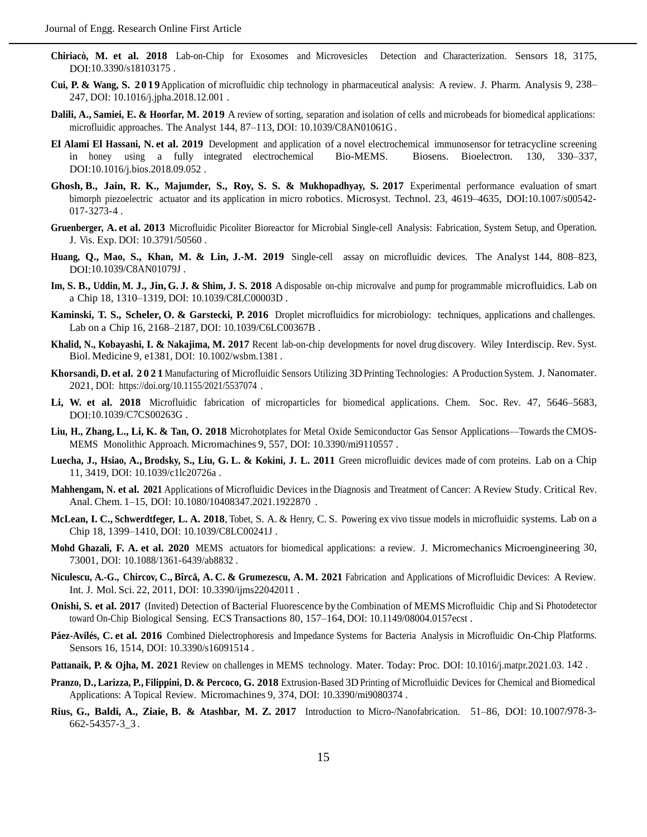- **Chiriacò, M. et al. 2018** Lab-on-Chip for Exosomes and Microvesicles Detection and Characterization. Sensors 18, 3175, DOI[:10.3390/s18103175](file:///G:/_/sezgin_ersoy_makale_3/JER_Kuwait/10.3390/s18103175).
- **Cui, P. & Wang, S. 2019**Application of microfluidic chip technology in pharmaceutical analysis: A review. J. Pharm. Analysis 9, 238– 247, DOI: [10.1016/j.jpha.2018.12.001](file:///G:/_/sezgin_ersoy_makale_3/JER_Kuwait/10.1016/j.jpha.2018.12.001) .
- **Dalili, A., Samiei, E. & Hoorfar, M. 2019** A review of sorting, separation and isolation of cells and microbeads for biomedical applications: microfluidic approaches. The Analyst 144, 87–113, DOI: [10.1039/C8AN01061G](file:///G:/_/sezgin_ersoy_makale_3/JER_Kuwait/10.1039/C8AN01061G) .
- **El Alami El Hassani, N. et al. 2019** Development and application of a novel electrochemical immunosensor for tetracycline screening in honey using a fully integrated electrochemical Bio-MEMS. Biosens. Bioelectron. 130, 330–337, DOI[:10.1016/j.bios.2018.09.052](file:///G:/_/sezgin_ersoy_makale_3/JER_Kuwait/10.1016/j.bios.2018.09.052) .
- **Ghosh, B., Jain, R. K., Majumder, S., Roy, S. S. & Mukhopadhyay, S. 2017** Experimental performance evaluation of smart bimorph piezoelectric actuator and its application in micro robotics. Microsyst. Technol. 23, 4619-4635, DO[I:10.1007/s00542-](file:///G:/_/sezgin_ersoy_makale_3/JER_Kuwait/10.1007/s00542-017-3273-4) [017-3273-4](file:///G:/_/sezgin_ersoy_makale_3/JER_Kuwait/10.1007/s00542-017-3273-4) .
- **Gruenberger, A. et al. 2013** Microfluidic Picoliter Bioreactor for Microbial Single-cell Analysis: Fabrication, System Setup, and Operation. J. Vis. Exp. DOI: [10.3791/50560](file:///G:/_/sezgin_ersoy_makale_3/JER_Kuwait/10.3791/50560) .
- **Huang, Q., Mao, S., Khan, M. & Lin, J.-M. 2019** Single-cell assay on microfluidic devices. The Analyst 144, 808–823, DOI[:10.1039/C8AN01079J](file:///G:/_/sezgin_ersoy_makale_3/JER_Kuwait/10.1039/C8AN01079J) .
- Im, S. B., Uddin, M. J., Jin, G. J. & Shim, J. S. 2018 A disposable on-chip microvalve and pump for programmable microfluidics. Lab on a Chip 18, 1310–1319, DOI: [10.1039/C8LC00003D](file:///G:/_/sezgin_ersoy_makale_3/JER_Kuwait/10.1039/C8LC00003D) .
- **Kaminski, T. S., Scheler, O. & Garstecki, P. 2016** Droplet microfluidics for microbiology: techniques, applications and challenges. Lab on a Chip 16, 2168–2187, DOI: [10.1039/C6LC00367B](file:///G:/_/sezgin_ersoy_makale_3/JER_Kuwait/10.1039/C6LC00367B) .
- **Khalid, N., Kobayashi, I. & Nakajima, M. 2017** Recent lab-on-chip developments for novel drug discovery. Wiley Interdiscip. Rev. Syst. Biol. Medicine 9, e1381, DOI: [10.1002/wsbm.1381](file:///G:/_/sezgin_ersoy_makale_3/JER_Kuwait/10.1002/wsbm.1381) .
- **Khorsandi, D. et al. 2021** Manufacturing of Microfluidic Sensors Utilizing 3D Printing Technologies: A Production System. J. Nanomater. 2021, DOI:<https://doi.org/10.1155/2021/5537074> .
- **Li, W. et al. 2018** Microfluidic fabrication of microparticles for biomedical applications. Chem. Soc. Rev. 47, 5646–5683, DOI[:10.1039/C7CS00263G](file:///G:/_/sezgin_ersoy_makale_3/JER_Kuwait/10.1039/C7CS00263G) .
- **Liu, H., Zhang, L., Li, K. & Tan, O. 2018** Microhotplates for Metal Oxide Semiconductor Gas Sensor Applications—Towards the CMOS-MEMS Monolithic Approach. Micromachines 9, 557, DOI: [10.3390/mi9110557](file:///G:/_/sezgin_ersoy_makale_3/JER_Kuwait/10.3390/mi9110557) .
- Luecha, J., Hsiao, A., Brodsky, S., Liu, G. L. & Kokini, J. L. 2011 Green microfluidic devices made of corn proteins. Lab on a Chip 11, 3419, DOI: [10.1039/c1lc20726a](file:///G:/_/sezgin_ersoy_makale_3/JER_Kuwait/10.1039/c1lc20726a) .
- **Mahhengam, N. et al. 2021** Applications of Microfluidic Devices in the Diagnosis and Treatment of Cancer: A Review Study. Critical Rev. Anal. Chem. 1–15, DOI: [10.1080/10408347.2021.1922870](file:///G:/_/sezgin_ersoy_makale_3/JER_Kuwait/10.1080/10408347.2021.1922870) .
- **McLean, I. C., Schwerdtfeger, L. A. 2018**, Tobet, S. A. & Henry, C. S. Powering ex vivo tissue models in microfluidic systems. Lab on a Chip 18, 1399–1410, DOI: [10.1039/C8LC00241J](file:///G:/_/sezgin_ersoy_makale_3/JER_Kuwait/10.1039/C8LC00241J) .
- **Mohd Ghazali, F. A. et al. 2020** MEMS actuators for biomedical applications: a review. J. Micromechanics Microengineering 30, 73001, DOI: [10.1088/1361-6439/ab8832](file:///G:/_/sezgin_ersoy_makale_3/JER_Kuwait/10.1088/1361-6439/ab8832) .
- **Niculescu, A.-G., Chircov, C., Bîrcă, A. C. & Grumezescu, A. M. 2021 Fabrication and Applications of Microfluidic Devices: A Review.** Int. J. Mol. Sci. 22, 2011, DOI: [10.3390/ijms22042011](file:///G:/_/sezgin_ersoy_makale_3/JER_Kuwait/10.3390/ijms22042011) .
- **Onishi, S. et al. 2017** (Invited) Detection of Bacterial Fluorescence by the Combination of MEMS Microfluidic Chip and Si Photodetector toward On-Chip Biological Sensing. ECS Transactions 80, 157–164, DOI: [10.1149/08004.0157ecst](file:///G:/_/sezgin_ersoy_makale_3/JER_Kuwait/10.1149/08004.0157ecst) .
- **Páez-Avilés, C. et al. 2016** Combined Dielectrophoresis and Impedance Systems for Bacteria Analysis in Microfluidic On-Chip Platforms. Sensors 16, 1514, DOI: [10.3390/s16091514](file:///G:/_/sezgin_ersoy_makale_3/JER_Kuwait/10.3390/s16091514) .
- **Pattanaik, P. & Ojha, M. 2021** Review on challenges in MEMS technology. Mater. Today: Proc. DOI: [10.1016/j.matpr.2021.03.](file:///G:/_/sezgin_ersoy_makale_3/JER_Kuwait/10.1016/j.matpr.2021.03.142) [142](file:///G:/_/sezgin_ersoy_makale_3/JER_Kuwait/10.1016/j.matpr.2021.03.142) .
- **Pranzo, D.,Larizza, P., Filippini, D. & Percoco, G. 2018** Extrusion-Based 3D Printing of Microfluidic Devices for Chemical and Biomedical Applications: A Topical Review. Micromachines 9, 374, DOI: [10.3390/mi9080374](file:///G:/_/sezgin_ersoy_makale_3/JER_Kuwait/10.3390/mi9080374) .
- **Rius, G., Baldi, A., Ziaie, B. & Atashbar, M. Z. 2017** Introduction to Micro-/Nanofabrication. 51–86, DOI: [10.1007/978-3-](file:///G:/_/sezgin_ersoy_makale_3/JER_Kuwait/10.1007/978-3-662-54357-3_3) [662-54357-3\\_3](file:///G:/_/sezgin_ersoy_makale_3/JER_Kuwait/10.1007/978-3-662-54357-3_3) .